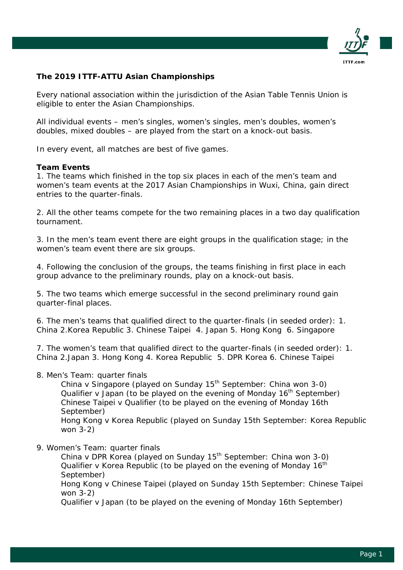

## **The 2019 ITTF-ATTU Asian Championships**

*Every national association within the jurisdiction of the Asian Table Tennis Union is eligible to enter the Asian Championships.*

*All individual events – men's singles, women's singles, men's doubles, women's doubles, mixed doubles – are played from the start on a knock-out basis.* 

*In every event, all matches are best of five games.*

## **Team Events**

1. The teams which finished in the top six places in each of the men's team and women's team events at the 2017 Asian Championships in Wuxi, China, gain direct entries to the quarter-finals.

2. All the other teams compete for the two remaining places in a two day qualification tournament.

3. In the men's team event there are eight groups in the qualification stage; in the women's team event there are six groups.

4. Following the conclusion of the groups, the teams finishing in first place in each group advance to the preliminary rounds, play on a knock-out basis.

5. The two teams which emerge successful in the second preliminary round gain quarter-final places.

6. The men's teams that qualified direct to the quarter-finals (in seeded order): 1. China 2.Korea Republic 3. Chinese Taipei 4. Japan 5. Hong Kong 6. Singapore

7. The women's team that qualified direct to the quarter-finals (in seeded order): 1. China 2.Japan 3. Hong Kong 4. Korea Republic 5. DPR Korea 6. Chinese Taipei

8. Men's Team: quarter finals

China v Singapore (played on Sunday 15<sup>th</sup> September: China won 3-0) Qualifier v Japan (to be played on the evening of Monday  $16<sup>th</sup>$  September) Chinese Taipei v Qualifier (to be played on the evening of Monday 16th September) Hong Kong v Korea Republic (played on Sunday 15th September: Korea Republic won 3-2)

9. Women's Team: quarter finals

China v DPR Korea (played on Sunday 15<sup>th</sup> September: China won 3-0) Qualifier v Korea Republic (to be played on the evening of Monday  $16<sup>th</sup>$ September)

Hong Kong v Chinese Taipei (played on Sunday 15th September: Chinese Taipei won 3-2)

Qualifier v Japan (to be played on the evening of Monday 16th September)